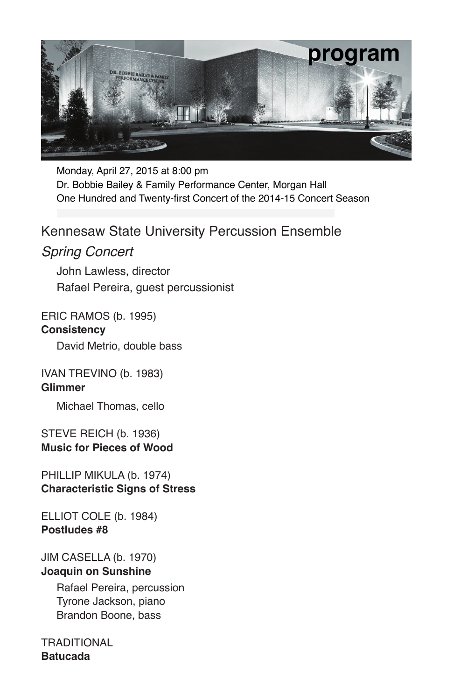

Monday, April 27, 2015 at 8:00 pm Dr. Bobbie Bailey & Family Performance Center, Morgan Hall One Hundred and Twenty-first Concert of the 2014-15 Concert Season

## Kennesaw State University Percussion Ensemble

## *Spring Concert*

John Lawless, director Rafael Pereira, guest percussionist

ERIC RAMOS (b. 1995) **Consistency**

David Metrio, double bass

IVAN TREVINO (b. 1983) **Glimmer** 

Michael Thomas, cello

STEVE REICH (b. 1936) **Music for Pieces of Wood** 

PHILLIP MIKULA (b. 1974) **Characteristic Signs of Stress**

ELLIOT COLE (b. 1984) **Postludes #8**

JIM CASELLA (b. 1970) **Joaquin on Sunshine**

> Rafael Pereira, percussion Tyrone Jackson, piano Brandon Boone, bass

**TRADITIONAL Batucada**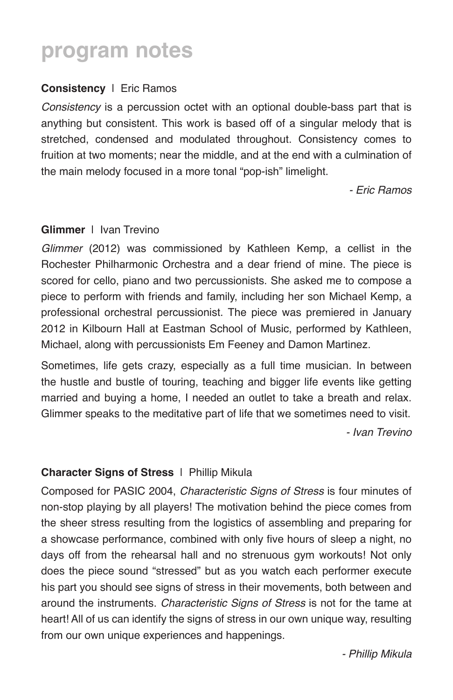# **program notes**

## **Consistency** | Eric Ramos

*Consistency* is a percussion octet with an optional double-bass part that is anything but consistent. This work is based off of a singular melody that is stretched, condensed and modulated throughout. Consistency comes to fruition at two moments; near the middle, and at the end with a culmination of the main melody focused in a more tonal "pop-ish" limelight.

*- Eric Ramos*

### **Glimmer** | Ivan Trevino

*Glimmer* (2012) was commissioned by Kathleen Kemp, a cellist in the Rochester Philharmonic Orchestra and a dear friend of mine. The piece is scored for cello, piano and two percussionists. She asked me to compose a piece to perform with friends and family, including her son Michael Kemp, a professional orchestral percussionist. The piece was premiered in January 2012 in Kilbourn Hall at Eastman School of Music, performed by Kathleen, Michael, along with percussionists Em Feeney and Damon Martinez.

Sometimes, life gets crazy, especially as a full time musician. In between the hustle and bustle of touring, teaching and bigger life events like getting married and buying a home, I needed an outlet to take a breath and relax. Glimmer speaks to the meditative part of life that we sometimes need to visit.

*- Ivan Trevino*

## **Character Signs of Stress** | Phillip Mikula

Composed for PASIC 2004, *Characteristic Signs of Stress* is four minutes of non-stop playing by all players! The motivation behind the piece comes from the sheer stress resulting from the logistics of assembling and preparing for a showcase performance, combined with only five hours of sleep a night, no days off from the rehearsal hall and no strenuous gym workouts! Not only does the piece sound "stressed" but as you watch each performer execute his part you should see signs of stress in their movements, both between and around the instruments. *Characteristic Signs of Stress* is not for the tame at heart! All of us can identify the signs of stress in our own unique way, resulting from our own unique experiences and happenings.

 *- Phillip Mikula*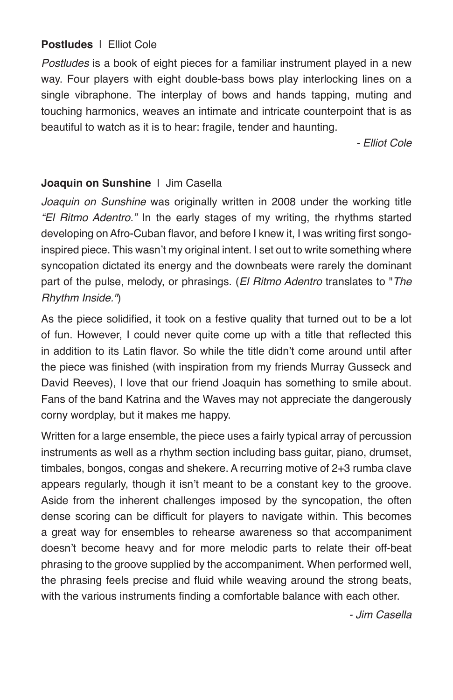## **Postludes** | Elliot Cole

*Postludes* is a book of eight pieces for a familiar instrument played in a new way. Four players with eight double-bass bows play interlocking lines on a single vibraphone. The interplay of bows and hands tapping, muting and touching harmonics, weaves an intimate and intricate counterpoint that is as beautiful to watch as it is to hear: fragile, tender and haunting.

*- Elliot Cole*

## **Joaquin on Sunshine** | Jim Casella

*Joaquin on Sunshine* was originally written in 2008 under the working title *"El Ritmo Adentro."* In the early stages of my writing, the rhythms started developing on Afro-Cuban flavor, and before I knew it, I was writing first songoinspired piece. This wasn't my original intent. I set out to write something where syncopation dictated its energy and the downbeats were rarely the dominant part of the pulse, melody, or phrasings. (*El Ritmo Adentro* translates to "*The Rhythm Inside."*)

As the piece solidified, it took on a festive quality that turned out to be a lot of fun. However, I could never quite come up with a title that reflected this in addition to its Latin flavor. So while the title didn't come around until after the piece was finished (with inspiration from my friends Murray Gusseck and David Reeves), I love that our friend Joaquin has something to smile about. Fans of the band Katrina and the Waves may not appreciate the dangerously corny wordplay, but it makes me happy.

Written for a large ensemble, the piece uses a fairly typical array of percussion instruments as well as a rhythm section including bass guitar, piano, drumset, timbales, bongos, congas and shekere. A recurring motive of 2+3 rumba clave appears regularly, though it isn't meant to be a constant key to the groove. Aside from the inherent challenges imposed by the syncopation, the often dense scoring can be difficult for players to navigate within. This becomes a great way for ensembles to rehearse awareness so that accompaniment doesn't become heavy and for more melodic parts to relate their off-beat phrasing to the groove supplied by the accompaniment. When performed well, the phrasing feels precise and fluid while weaving around the strong beats, with the various instruments finding a comfortable balance with each other.

*- Jim Casella*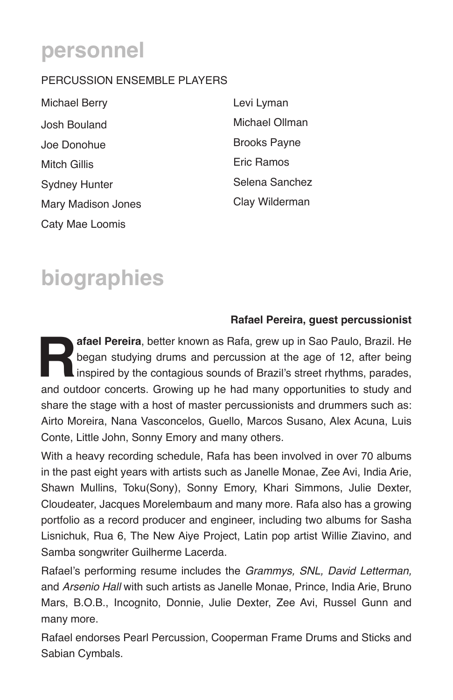# **personnel**

## PERCUSSION ENSEMBLE PLAYERS

| Michael Berry        | Levi Lyman          |
|----------------------|---------------------|
| Josh Bouland         | Michael Ollman      |
| Joe Donohue          | <b>Brooks Payne</b> |
| Mitch Gillis         | Eric Ramos          |
| <b>Sydney Hunter</b> | Selena Sanchez      |
| Mary Madison Jones   | Clay Wilderman      |
| Caty Mae Loomis      |                     |

# **biographies**

## **Rafael Pereira, guest percussionist**

**Rafael Pereira**, better known as Rafa, grew up in Sao Paulo, Brazil. He began studying drums and percussion at the age of 12, after being inspired by the contagious sounds of Brazil's street rhythms, parades, and outdoor began studying drums and percussion at the age of 12, after being I inspired by the contagious sounds of Brazil's street rhythms, parades, and outdoor concerts. Growing up he had many opportunities to study and share the stage with a host of master percussionists and drummers such as: Airto Moreira, Nana Vasconcelos, Guello, Marcos Susano, Alex Acuna, Luis Conte, Little John, Sonny Emory and many others.

With a heavy recording schedule, Rafa has been involved in over 70 albums in the past eight years with artists such as Janelle Monae, Zee Avi, India Arie, Shawn Mullins, Toku(Sony), Sonny Emory, Khari Simmons, Julie Dexter, Cloudeater, Jacques Morelembaum and many more. Rafa also has a growing portfolio as a record producer and engineer, including two albums for Sasha Lisnichuk, Rua 6, The New Aiye Project, Latin pop artist Willie Ziavino, and Samba songwriter Guilherme Lacerda.

Rafael's performing resume includes the *Grammys, SNL, David Letterman,*  and *Arsenio Hall* with such artists as Janelle Monae, Prince, India Arie, Bruno Mars, B.O.B., Incognito, Donnie, Julie Dexter, Zee Avi, Russel Gunn and many more.

Rafael endorses Pearl Percussion, Cooperman Frame Drums and Sticks and Sabian Cymbals.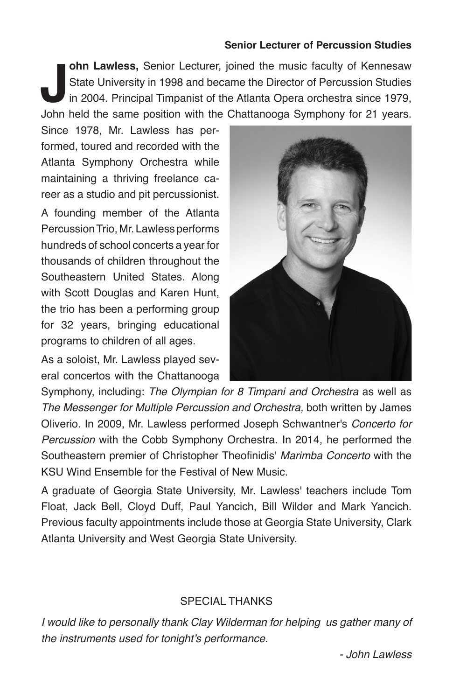## **Senior Lecturer of Percussion Studies**

**John Lawiess, Senior Lecturer, joined the music faculty of Kennesaw<br>
State University in 1998 and became the Director of Percussion Studies<br>
in 2004. Principal Timpanist of the Atlanta Opera orchestra since 1979,<br>
John he ohn Lawless,** Senior Lecturer, joined the music faculty of Kennesaw State University in 1998 and became the Director of Percussion Studies in 2004. Principal Timpanist of the Atlanta Opera orchestra since 1979,

Since 1978, Mr. Lawless has performed, toured and recorded with the Atlanta Symphony Orchestra while maintaining a thriving freelance career as a studio and pit percussionist.

A founding member of the Atlanta Percussion Trio, Mr. Lawless performs hundreds of school concerts a year for thousands of children throughout the Southeastern United States. Along with Scott Douglas and Karen Hunt, the trio has been a performing group for 32 years, bringing educational programs to children of all ages.

As a soloist, Mr. Lawless played several concertos with the Chattanooga



Symphony, including: *The Olympian for 8 Timpani and Orchestra* as well as *The Messenger for Multiple Percussion and Orchestra,* both written by James Oliverio. In 2009, Mr. Lawless performed Joseph Schwantner's *Concerto for Percussion* with the Cobb Symphony Orchestra. In 2014, he performed the Southeastern premier of Christopher Theofinidis' *Marimba Concerto* with the KSU Wind Ensemble for the Festival of New Music.

A graduate of Georgia State University, Mr. Lawless' teachers include Tom Float, Jack Bell, Cloyd Duff, Paul Yancich, Bill Wilder and Mark Yancich. Previous faculty appointments include those at Georgia State University, Clark Atlanta University and West Georgia State University.

## SPECIAL THANKS

*I* would like to personally thank Clay Wilderman for helping us gather many of the instruments used for tonight's performance.

*- John Lawless*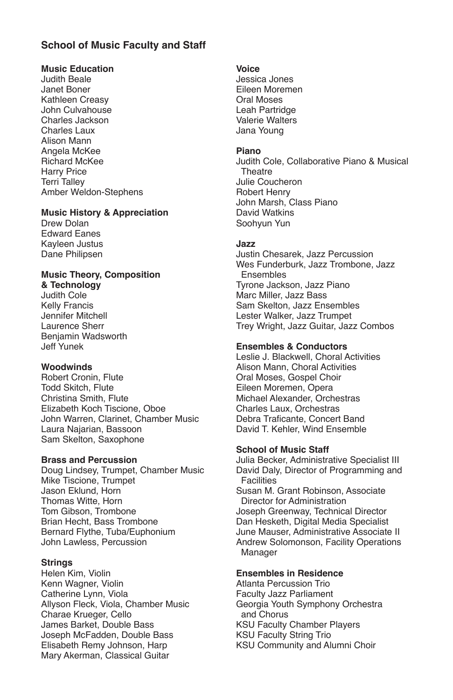## **School of Music Faculty and Staff**

#### **Music Education**

Judith Beale Janet Boner Kathleen Creasy John Culvahouse Charles Jackson Charles Laux Alison Mann Angela McKee Richard McKee Harry Price Terri Talley Amber Weldon-Stephens

#### **Music History & Appreciation**

Drew Dolan Edward Eanes Kayleen Justus Dane Philipsen

#### **Music Theory, Composition & Technology**

Judith Cole Kelly Francis Jennifer Mitchell Laurence Sherr Benjamin Wadsworth Jeff Yunek

#### **Woodwinds**

Robert Cronin, Flute Todd Skitch, Flute Christina Smith, Flute Elizabeth Koch Tiscione, Oboe John Warren, Clarinet, Chamber Music Laura Najarian, Bassoon Sam Skelton, Saxophone

#### **Brass and Percussion**

Doug Lindsey, Trumpet, Chamber Music Mike Tiscione, Trumpet Jason Eklund, Horn Thomas Witte, Horn Tom Gibson, Trombone Brian Hecht, Bass Trombone Bernard Flythe, Tuba/Euphonium John Lawless, Percussion

#### **Strings**

Helen Kim, Violin Kenn Wagner, Violin Catherine Lynn, Viola Allyson Fleck, Viola, Chamber Music Charae Krueger, Cello James Barket, Double Bass Joseph McFadden, Double Bass Elisabeth Remy Johnson, Harp Mary Akerman, Classical Guitar

#### **Voice**

Jessica Jones Eileen Moremen Oral Moses Leah Partridge Valerie Walters Jana Young

#### **Piano**

Judith Cole, Collaborative Piano & Musical **Theatre** Julie Coucheron Robert Henry John Marsh, Class Piano David Watkins Soohyun Yun

#### **Jazz**

Justin Chesarek, Jazz Percussion Wes Funderburk, Jazz Trombone, Jazz Ensembles Tyrone Jackson, Jazz Piano Marc Miller, Jazz Bass Sam Skelton, Jazz Ensembles Lester Walker, Jazz Trumpet Trey Wright, Jazz Guitar, Jazz Combos

#### **Ensembles & Conductors**

Leslie J. Blackwell, Choral Activities Alison Mann, Choral Activities Oral Moses, Gospel Choir Eileen Moremen, Opera Michael Alexander, Orchestras Charles Laux, Orchestras Debra Traficante, Concert Band David T. Kehler, Wind Ensemble

#### **School of Music Staff**

Julia Becker, Administrative Specialist III David Daly, Director of Programming and **Facilities** Susan M. Grant Robinson, Associate Director for Administration Joseph Greenway, Technical Director Dan Hesketh, Digital Media Specialist June Mauser, Administrative Associate II Andrew Solomonson, Facility Operations Manager

#### **Ensembles in Residence**

Atlanta Percussion Trio Faculty Jazz Parliament Georgia Youth Symphony Orchestra and Chorus KSU Faculty Chamber Players KSU Faculty String Trio KSU Community and Alumni Choir